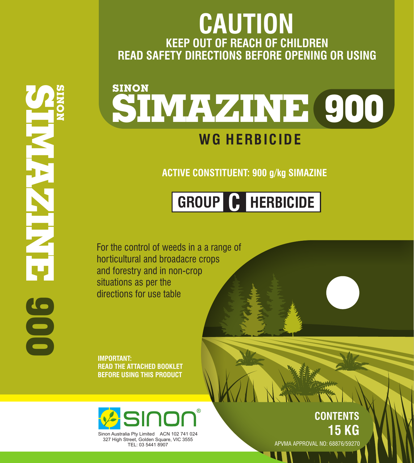### **IMPORTANT: READ THE ATTACHED BOOKLET BEFORE USING THIS PRODUCT**

**Asinon®** 

**CONTENTS 15 KG**

APVMA APPROVAL NO: 68876/59270

For the control of weeds in a a range of horticultural and broadacre crops and forestry and in non-crop situations as per the directions for use table

### **WG HERBICIDE SINON SIMAZINE 900**

**S I N O N 9 S I M A Z I N E**

### **ACTIVE CONSTITUENT: 900 g/kg SIMAZINE**

### **KEEP OUT OF REACH OF CHILDREN READ SAFETY DIRECTIONS BEFORE OPENING OR USING CAUTION**

## **GROUP C HERBICIDE**

# **0 0**



Sinon Australia Pty Limited ACN 102 741 024 327 High Street, Golden Square, VIC 3555 TEL: 03 5441 8907